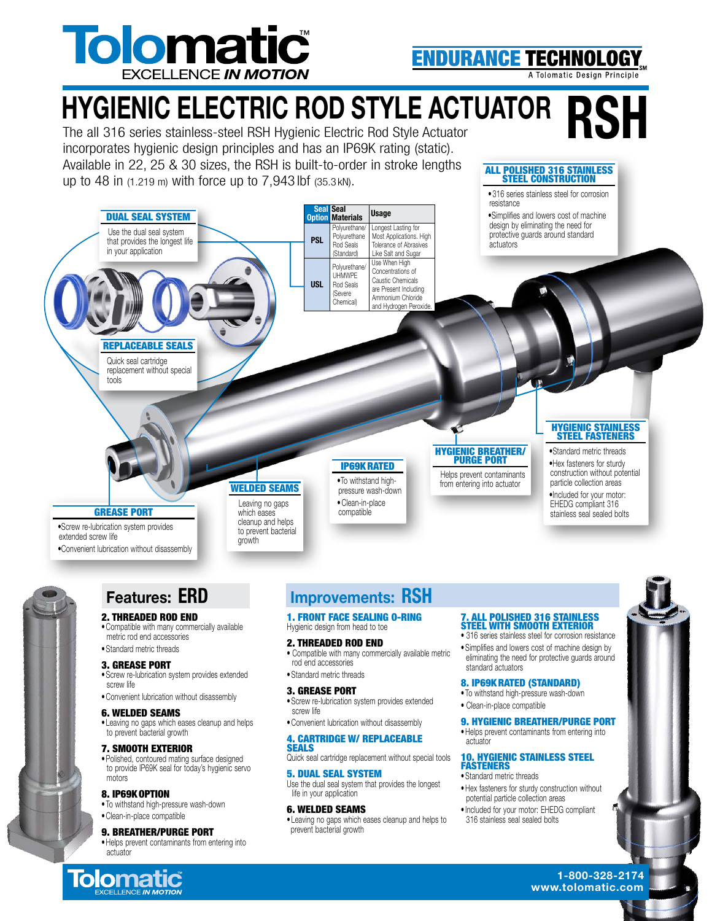

**ENDURANCE TECHNOLO** 

ALL POLISHED 316 STAINLESS STEEL CONSTRUCTION • 316 series stainless steel for corrosion

A Tolomatic Design Principle

## **HYGIENIC ELECTRIC ROD STYLE ACTUATOR**

The all 316 series stainless-steel RSH Hygienic Electric Rod Style Actuator incorporates hygienic design principles and has an IP69K rating (static). Available in 22, 25 & 30 sizes, the RSH is built-to-order in stroke lengths up to 48 in (1.219 m) with force up to 7,943 lbf (35.3 kN).



• Polished, contoured mating surface designed to provide IP69K seal for today's hygienic servo motors

### 8. IP69KOPTION • To withstand high-pressure wash-down • Clean-in-place compatible

9. BREATHER/PURGE PORT

• Helps prevent contaminants from entering into actuator

Quick seal cartridge replacement without special tools

### 5. DUAL SEAL SYSTEM Use the dual seal system that provides the longest life in your application

6. WELDED SEAMS • Leaving no gaps which eases cleanup and helps to prevent bacterial growth

#### 10. HYGIENIC STAINLESS STEEL **FASTENERS** • Standard metric threads

- Hex fasteners for sturdy construction without potential particle collection areas
- Included for your motor: EHEDG compliant 316 stainless seal sealed bolts

1-800-328-2174 **Tolomatic** and the second service of the service of the service of the service of the service of the service of the service of the service of the service of the service of the service of the service of the service of the